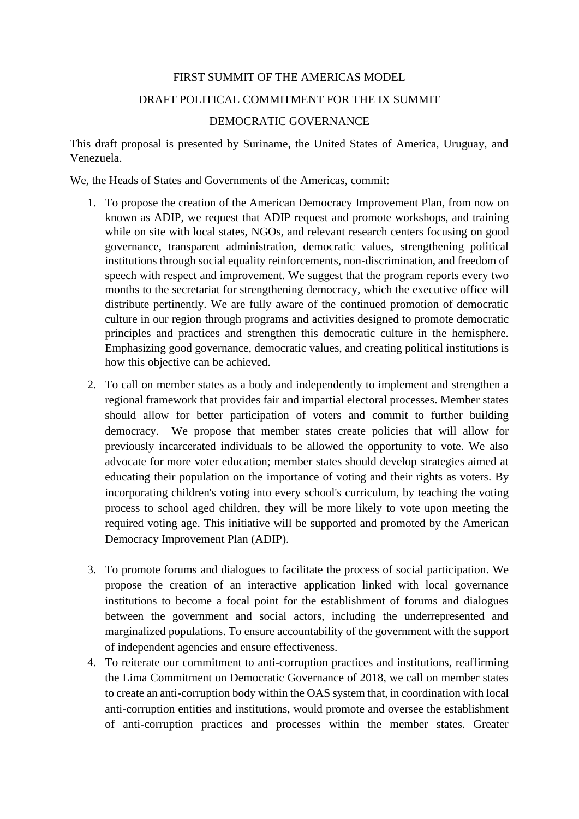## FIRST SUMMIT OF THE AMERICAS MODEL

## DRAFT POLITICAL COMMITMENT FOR THE IX SUMMIT

## DEMOCRATIC GOVERNANCE

This draft proposal is presented by Suriname, the United States of America, Uruguay, and Venezuela.

We, the Heads of States and Governments of the Americas, commit:

- 1. To propose the creation of the American Democracy Improvement Plan, from now on known as ADIP, we request that ADIP request and promote workshops, and training while on site with local states, NGOs, and relevant research centers focusing on good governance, transparent administration, democratic values, strengthening political institutions through social equality reinforcements, non-discrimination, and freedom of speech with respect and improvement. We suggest that the program reports every two months to the secretariat for strengthening democracy, which the executive office will distribute pertinently. We are fully aware of the continued promotion of democratic culture in our region through programs and activities designed to promote democratic principles and practices and strengthen this democratic culture in the hemisphere. Emphasizing good governance, democratic values, and creating political institutions is how this objective can be achieved.
- 2. To call on member states as a body and independently to implement and strengthen a regional framework that provides fair and impartial electoral processes. Member states should allow for better participation of voters and commit to further building democracy. We propose that member states create policies that will allow for previously incarcerated individuals to be allowed the opportunity to vote. We also advocate for more voter education; member states should develop strategies aimed at educating their population on the importance of voting and their rights as voters. By incorporating children's voting into every school's curriculum, by teaching the voting process to school aged children, they will be more likely to vote upon meeting the required voting age. This initiative will be supported and promoted by the American Democracy Improvement Plan (ADIP).
- 3. To promote forums and dialogues to facilitate the process of social participation. We propose the creation of an interactive application linked with local governance institutions to become a focal point for the establishment of forums and dialogues between the government and social actors, including the underrepresented and marginalized populations. To ensure accountability of the government with the support of independent agencies and ensure effectiveness.
- 4. To reiterate our commitment to anti-corruption practices and institutions, reaffirming the Lima Commitment on Democratic Governance of 2018, we call on member states to create an anti-corruption body within the OAS system that, in coordination with local anti-corruption entities and institutions, would promote and oversee the establishment of anti-corruption practices and processes within the member states. Greater